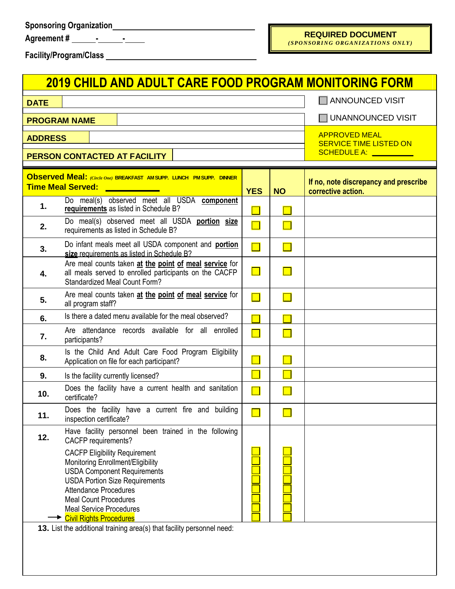| <b>Agreement#</b> |  |  |
|-------------------|--|--|
|                   |  |  |

 $\mathbb{R}$ 

## **REQUIRED DOCUMENT**

*(SPONSORI NG ORGANIZATIONS ONLY)*

**Facility/Program/Class**

|                | <b>2019 CHILD AND ADULT CARE FOOD PROGRAM MONITORING FORM</b>                                                                                                                                                                                                                                                                                                          |                                                                                 |                |                                                             |  |  |
|----------------|------------------------------------------------------------------------------------------------------------------------------------------------------------------------------------------------------------------------------------------------------------------------------------------------------------------------------------------------------------------------|---------------------------------------------------------------------------------|----------------|-------------------------------------------------------------|--|--|
| <b>DATE</b>    |                                                                                                                                                                                                                                                                                                                                                                        | ANNOUNCED VISIT                                                                 |                |                                                             |  |  |
|                | <b>PROGRAM NAME</b>                                                                                                                                                                                                                                                                                                                                                    | UNANNOUNCED VISIT                                                               |                |                                                             |  |  |
| <b>ADDRESS</b> | PERSON CONTACTED AT FACILITY                                                                                                                                                                                                                                                                                                                                           | <b>APPROVED MEAL</b><br><b>SERVICE TIME LISTED ON</b><br>SCHEDULE A: __________ |                |                                                             |  |  |
|                | <b>Observed Meal:</b> (Circle One) BREAKFAST AMSUPP. LUNCH PMSUPP. DINNER<br><b>Time Meal Served:</b><br><u> 1999 - Jan Barnett, politik e</u> ta p                                                                                                                                                                                                                    | <b>YES</b>                                                                      | <b>NO</b>      | If no, note discrepancy and prescribe<br>corrective action. |  |  |
| 1.             | Do meal(s) observed meet all USDA component<br>requirements as listed in Schedule B?                                                                                                                                                                                                                                                                                   |                                                                                 |                |                                                             |  |  |
| 2.             | Do meal(s) observed meet all USDA portion size<br>requirements as listed in Schedule B?                                                                                                                                                                                                                                                                                | $\blacksquare$                                                                  |                |                                                             |  |  |
| 3.             | Do infant meals meet all USDA component and portion<br>size requirements as listed in Schedule B?                                                                                                                                                                                                                                                                      | $\Box$                                                                          | $\blacksquare$ |                                                             |  |  |
| 4.             | Are meal counts taken at the point of meal service for<br>all meals served to enrolled participants on the CACFP<br><b>Standardized Meal Count Form?</b>                                                                                                                                                                                                               | $\Box$                                                                          |                |                                                             |  |  |
| 5.             | Are meal counts taken at the point of meal service for<br>all program staff?                                                                                                                                                                                                                                                                                           |                                                                                 |                |                                                             |  |  |
| 6.             | Is there a dated menu available for the meal observed?                                                                                                                                                                                                                                                                                                                 |                                                                                 |                |                                                             |  |  |
| 7.             | Are attendance records available for all enrolled<br>participants?                                                                                                                                                                                                                                                                                                     |                                                                                 |                |                                                             |  |  |
| 8.             | Is the Child And Adult Care Food Program Eligibility<br>Application on file for each participant?                                                                                                                                                                                                                                                                      |                                                                                 |                |                                                             |  |  |
| 9.             | Is the facility currently licensed?                                                                                                                                                                                                                                                                                                                                    |                                                                                 |                |                                                             |  |  |
| 10.            | Does the facility have a current health and sanitation<br>certificate?                                                                                                                                                                                                                                                                                                 | $\Box$                                                                          |                |                                                             |  |  |
| 11.            | Does the facility have a current fire and building<br>inspection certificate?                                                                                                                                                                                                                                                                                          |                                                                                 |                |                                                             |  |  |
| 12.            | Have facility personnel been trained in the following<br>CACFP requirements?                                                                                                                                                                                                                                                                                           |                                                                                 |                |                                                             |  |  |
|                | <b>CACFP Eligibility Requirement</b><br>Monitoring Enrollment/Eligibility<br><b>USDA Component Requirements</b><br><b>USDA Portion Size Requirements</b><br><b>Attendance Procedures</b><br><b>Meal Count Procedures</b><br><b>Meal Service Procedures</b><br><b>Civil Rights Procedures</b><br>13. List the additional training area(s) that facility personnel need: |                                                                                 |                |                                                             |  |  |
|                |                                                                                                                                                                                                                                                                                                                                                                        |                                                                                 |                |                                                             |  |  |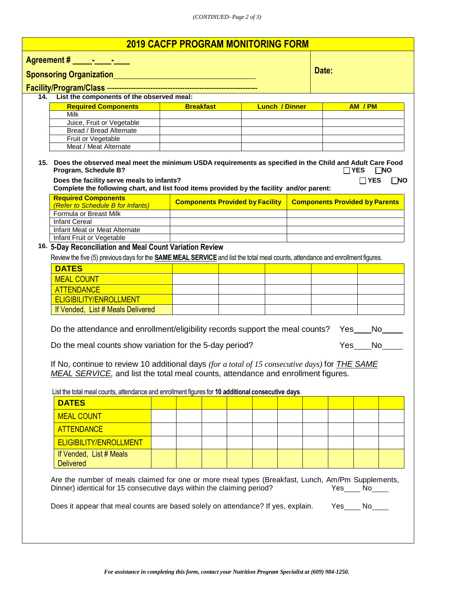| <b>2019 CACFP PROGRAM MONITORING FORM</b>                                                                                                                                                                                                                                                                                                                                                                                                                              |                                                                                                                                                                                                                                                               |                                           |                                        |  |  |  |  |       |  |                                       |                                    |  |  |
|------------------------------------------------------------------------------------------------------------------------------------------------------------------------------------------------------------------------------------------------------------------------------------------------------------------------------------------------------------------------------------------------------------------------------------------------------------------------|---------------------------------------------------------------------------------------------------------------------------------------------------------------------------------------------------------------------------------------------------------------|-------------------------------------------|----------------------------------------|--|--|--|--|-------|--|---------------------------------------|------------------------------------|--|--|
| Agreement # Fig. 4 Fig. 4 Fig. 4 Fig. 4 Fig. 4 Fig. 4 Fig. 4 Fig. 4 Fig. 4 Fig. 4 Fig. 4 Fig. 4 Fig. 4 Fig. 4 Fig. 4 Fig. 4 Fig. 4 Fig. 4 Fig. 4 Fig. 4 Fig. 4 Fig. 4 Fig. 4 Fig. 4 Fig. 4 Fig. 4 Fig. 4 Fig. 4 Fig. 4 Fig. 4                                                                                                                                                                                                                                          |                                                                                                                                                                                                                                                               |                                           |                                        |  |  |  |  |       |  |                                       |                                    |  |  |
|                                                                                                                                                                                                                                                                                                                                                                                                                                                                        | <b>Sponsoring Organization Sponsoring Organization</b>                                                                                                                                                                                                        |                                           |                                        |  |  |  |  | Date: |  |                                       |                                    |  |  |
|                                                                                                                                                                                                                                                                                                                                                                                                                                                                        |                                                                                                                                                                                                                                                               |                                           |                                        |  |  |  |  |       |  |                                       |                                    |  |  |
| List the components of the observed meal:<br>14.                                                                                                                                                                                                                                                                                                                                                                                                                       |                                                                                                                                                                                                                                                               |                                           |                                        |  |  |  |  |       |  |                                       |                                    |  |  |
|                                                                                                                                                                                                                                                                                                                                                                                                                                                                        | <b>Required Components</b>                                                                                                                                                                                                                                    | <b>Breakfast</b><br><b>Lunch / Dinner</b> |                                        |  |  |  |  |       |  |                                       | AM / PM                            |  |  |
|                                                                                                                                                                                                                                                                                                                                                                                                                                                                        | Milk                                                                                                                                                                                                                                                          |                                           |                                        |  |  |  |  |       |  |                                       |                                    |  |  |
|                                                                                                                                                                                                                                                                                                                                                                                                                                                                        | Juice, Fruit or Vegetable<br><b>Bread / Bread Alternate</b>                                                                                                                                                                                                   |                                           |                                        |  |  |  |  |       |  |                                       |                                    |  |  |
|                                                                                                                                                                                                                                                                                                                                                                                                                                                                        | Fruit or Vegetable                                                                                                                                                                                                                                            |                                           |                                        |  |  |  |  |       |  |                                       |                                    |  |  |
|                                                                                                                                                                                                                                                                                                                                                                                                                                                                        | Meat / Meat Alternate                                                                                                                                                                                                                                         |                                           |                                        |  |  |  |  |       |  |                                       |                                    |  |  |
| 15. Does the observed meal meet the minimum USDA requirements as specified in the Child and Adult Care Food<br>Program, Schedule B?<br>$\Box$ YES<br>$\Box$ NO<br>Does the facility serve meals to infants?<br>$\Box$ YES<br>$\Box$ NO<br>Complete the following chart, and list food items provided by the facility and/or parent:                                                                                                                                    |                                                                                                                                                                                                                                                               |                                           |                                        |  |  |  |  |       |  |                                       |                                    |  |  |
|                                                                                                                                                                                                                                                                                                                                                                                                                                                                        | <b>Required Components</b><br>(Refer to Schedule B for Infants)                                                                                                                                                                                               |                                           | <b>Components Provided by Facility</b> |  |  |  |  |       |  | <b>Components Provided by Parents</b> |                                    |  |  |
|                                                                                                                                                                                                                                                                                                                                                                                                                                                                        | Formula or Breast Milk                                                                                                                                                                                                                                        |                                           |                                        |  |  |  |  |       |  |                                       |                                    |  |  |
|                                                                                                                                                                                                                                                                                                                                                                                                                                                                        | <b>Infant Cereal</b>                                                                                                                                                                                                                                          |                                           |                                        |  |  |  |  |       |  |                                       |                                    |  |  |
|                                                                                                                                                                                                                                                                                                                                                                                                                                                                        | Infant Meat or Meat Alternate<br>Infant Fruit or Vegetable                                                                                                                                                                                                    |                                           |                                        |  |  |  |  |       |  |                                       |                                    |  |  |
|                                                                                                                                                                                                                                                                                                                                                                                                                                                                        | 16. 5-Day Reconciliation and Meal Count Variation Review                                                                                                                                                                                                      |                                           |                                        |  |  |  |  |       |  |                                       |                                    |  |  |
|                                                                                                                                                                                                                                                                                                                                                                                                                                                                        | Review the five (5) previous days for the <b>SAME MEAL SERVICE</b> and list the total meal counts, attendance and enrollment figures.                                                                                                                         |                                           |                                        |  |  |  |  |       |  |                                       |                                    |  |  |
|                                                                                                                                                                                                                                                                                                                                                                                                                                                                        | <b>DATES</b>                                                                                                                                                                                                                                                  |                                           |                                        |  |  |  |  |       |  |                                       |                                    |  |  |
|                                                                                                                                                                                                                                                                                                                                                                                                                                                                        | <b>MEAL COUNT</b>                                                                                                                                                                                                                                             |                                           |                                        |  |  |  |  |       |  |                                       |                                    |  |  |
|                                                                                                                                                                                                                                                                                                                                                                                                                                                                        | <b>ATTENDANCE</b>                                                                                                                                                                                                                                             |                                           |                                        |  |  |  |  |       |  |                                       |                                    |  |  |
|                                                                                                                                                                                                                                                                                                                                                                                                                                                                        | <b>ELIGIBILITY/ENROLLMENT</b>                                                                                                                                                                                                                                 |                                           |                                        |  |  |  |  |       |  |                                       |                                    |  |  |
|                                                                                                                                                                                                                                                                                                                                                                                                                                                                        | If Vended, List # Meals Delivered                                                                                                                                                                                                                             |                                           |                                        |  |  |  |  |       |  |                                       |                                    |  |  |
| Do the attendance and enrollment/eligibility records support the meal counts?<br>Yes<br>No l<br>Do the meal counts show variation for the 5-day period?<br>Yes<br>No<br>If No, continue to review 10 additional days (for a total of 15 consecutive days) for <b>THE SAME</b><br>MEAL SERVICE, and list the total meal counts, attendance and enrollment figures.<br>List the total meal counts, attendance and enrollment figures for 10 additional consecutive days. |                                                                                                                                                                                                                                                               |                                           |                                        |  |  |  |  |       |  |                                       |                                    |  |  |
|                                                                                                                                                                                                                                                                                                                                                                                                                                                                        | <b>DATES</b>                                                                                                                                                                                                                                                  |                                           |                                        |  |  |  |  |       |  |                                       |                                    |  |  |
|                                                                                                                                                                                                                                                                                                                                                                                                                                                                        | <b>MEAL COUNT</b>                                                                                                                                                                                                                                             |                                           |                                        |  |  |  |  |       |  |                                       |                                    |  |  |
|                                                                                                                                                                                                                                                                                                                                                                                                                                                                        | <b>ATTENDANCE</b>                                                                                                                                                                                                                                             |                                           |                                        |  |  |  |  |       |  |                                       |                                    |  |  |
|                                                                                                                                                                                                                                                                                                                                                                                                                                                                        | <b>ELIGIBILITY/ENROLLMENT</b>                                                                                                                                                                                                                                 |                                           |                                        |  |  |  |  |       |  |                                       |                                    |  |  |
|                                                                                                                                                                                                                                                                                                                                                                                                                                                                        | If Vended, List # Meals                                                                                                                                                                                                                                       |                                           |                                        |  |  |  |  |       |  |                                       |                                    |  |  |
|                                                                                                                                                                                                                                                                                                                                                                                                                                                                        | <b>Delivered</b>                                                                                                                                                                                                                                              |                                           |                                        |  |  |  |  |       |  |                                       |                                    |  |  |
|                                                                                                                                                                                                                                                                                                                                                                                                                                                                        | Are the number of meals claimed for one or more meal types (Breakfast, Lunch, Am/Pm Supplements,<br>Dinner) identical for 15 consecutive days within the claiming period?<br>Does it appear that meal counts are based solely on attendance? If yes, explain. |                                           |                                        |  |  |  |  |       |  |                                       | $Yes$ No $\_\_$<br>$Yes$ No $\_\_$ |  |  |
|                                                                                                                                                                                                                                                                                                                                                                                                                                                                        |                                                                                                                                                                                                                                                               |                                           |                                        |  |  |  |  |       |  |                                       |                                    |  |  |